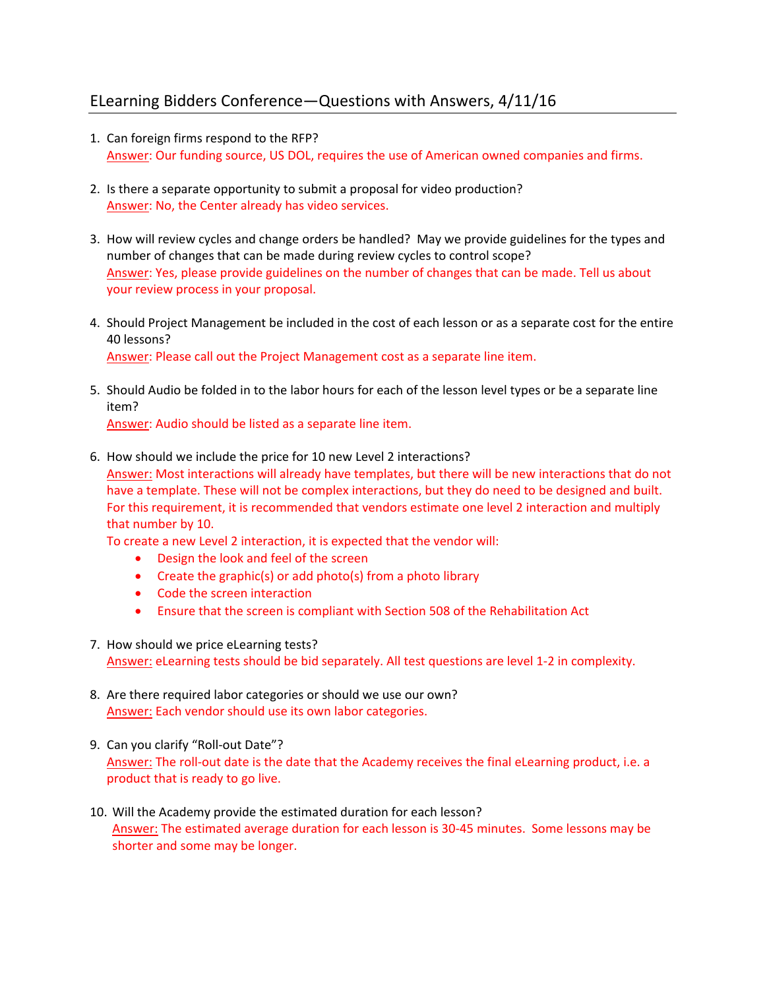## ELearning Bidders Conference—Questions with Answers, 4/11/16

- 1. Can foreign firms respond to the RFP? Answer: Our funding source, US DOL, requires the use of American owned companies and firms.
- 2. Is there a separate opportunity to submit a proposal for video production? Answer: No, the Center already has video services.
- 3. How will review cycles and change orders be handled? May we provide guidelines for the types and number of changes that can be made during review cycles to control scope? Answer: Yes, please provide guidelines on the number of changes that can be made. Tell us about your review process in your proposal.
- 4. Should Project Management be included in the cost of each lesson or as a separate cost for the entire 40 lessons? Answer: Please call out the Project Management cost as a separate line item.
- 5. Should Audio be folded in to the labor hours for each of the lesson level types or be a separate line item?

Answer: Audio should be listed as a separate line item.

6. How should we include the price for 10 new Level 2 interactions? Answer: Most interactions will already have templates, but there will be new interactions that do not have a template. These will not be complex interactions, but they do need to be designed and built. For this requirement, it is recommended that vendors estimate one level 2 interaction and multiply that number by 10.

To create a new Level 2 interaction, it is expected that the vendor will:

- Design the look and feel of the screen
- Create the graphic(s) or add photo(s) from a photo library
- Code the screen interaction
- Ensure that the screen is compliant with Section 508 of the Rehabilitation Act
- 7. How should we price eLearning tests? Answer: eLearning tests should be bid separately. All test questions are level 1‐2 in complexity.
- 8. Are there required labor categories or should we use our own? Answer: Each vendor should use its own labor categories.
- 9. Can you clarify "Roll-out Date"? Answer: The roll-out date is the date that the Academy receives the final eLearning product, i.e. a product that is ready to go live.
- 10. Will the Academy provide the estimated duration for each lesson? Answer: The estimated average duration for each lesson is 30-45 minutes. Some lessons may be shorter and some may be longer.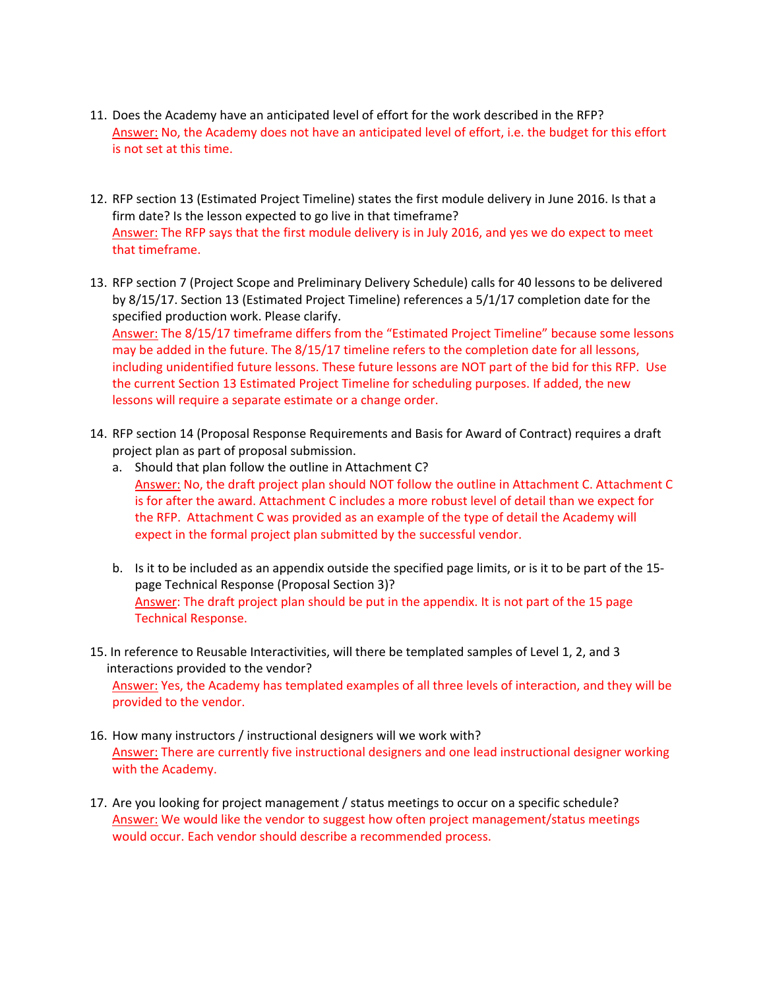- 11. Does the Academy have an anticipated level of effort for the work described in the RFP? Answer: No, the Academy does not have an anticipated level of effort, i.e. the budget for this effort is not set at this time.
- 12. RFP section 13 (Estimated Project Timeline) states the first module delivery in June 2016. Is that a firm date? Is the lesson expected to go live in that timeframe? Answer: The RFP says that the first module delivery is in July 2016, and yes we do expect to meet that timeframe.
- 13. RFP section 7 (Project Scope and Preliminary Delivery Schedule) calls for 40 lessons to be delivered by 8/15/17. Section 13 (Estimated Project Timeline) references a 5/1/17 completion date for the specified production work. Please clarify. Answer: The 8/15/17 timeframe differs from the "Estimated Project Timeline" because some lessons

may be added in the future. The 8/15/17 timeline refers to the completion date for all lessons, including unidentified future lessons. These future lessons are NOT part of the bid for this RFP. Use the current Section 13 Estimated Project Timeline for scheduling purposes. If added, the new lessons will require a separate estimate or a change order.

- 14. RFP section 14 (Proposal Response Requirements and Basis for Award of Contract) requires a draft project plan as part of proposal submission.
	- a. Should that plan follow the outline in Attachment C? Answer: No, the draft project plan should NOT follow the outline in Attachment C. Attachment C is for after the award. Attachment C includes a more robust level of detail than we expect for the RFP. Attachment C was provided as an example of the type of detail the Academy will expect in the formal project plan submitted by the successful vendor.
	- b. Is it to be included as an appendix outside the specified page limits, or is it to be part of the 15‐ page Technical Response (Proposal Section 3)? Answer: The draft project plan should be put in the appendix. It is not part of the 15 page Technical Response.
- 15. In reference to Reusable Interactivities, will there be templated samples of Level 1, 2, and 3 interactions provided to the vendor? Answer: Yes, the Academy has templated examples of all three levels of interaction, and they will be provided to the vendor.
- 16. How many instructors / instructional designers will we work with? Answer: There are currently five instructional designers and one lead instructional designer working with the Academy.
- 17. Are you looking for project management / status meetings to occur on a specific schedule? Answer: We would like the vendor to suggest how often project management/status meetings would occur. Each vendor should describe a recommended process.